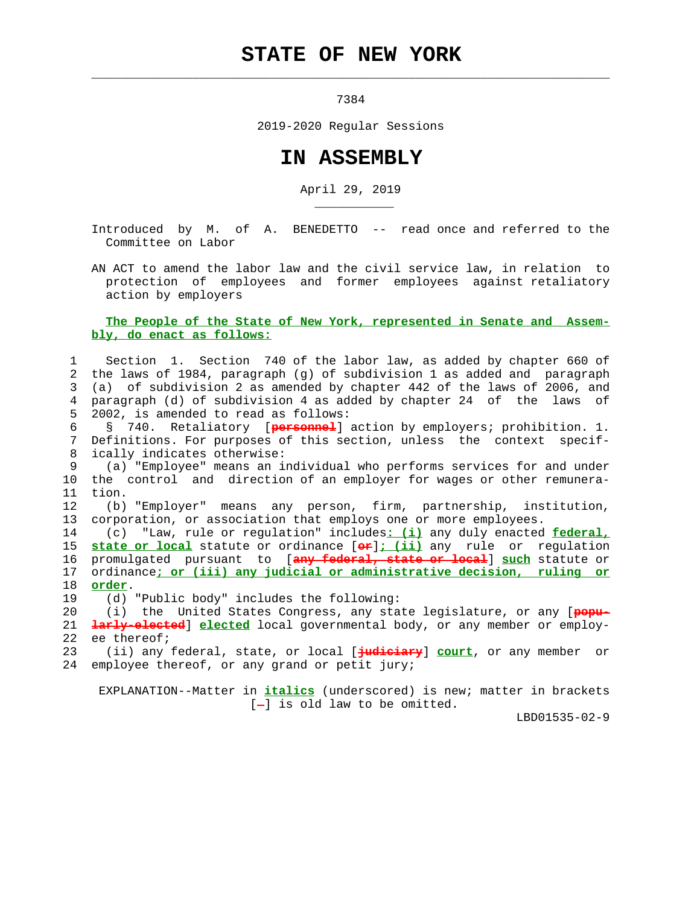## **STATE OF NEW YORK**

 $\mathcal{L}_\text{max} = \frac{1}{2} \sum_{i=1}^{n} \frac{1}{2} \sum_{i=1}^{n} \frac{1}{2} \sum_{i=1}^{n} \frac{1}{2} \sum_{i=1}^{n} \frac{1}{2} \sum_{i=1}^{n} \frac{1}{2} \sum_{i=1}^{n} \frac{1}{2} \sum_{i=1}^{n} \frac{1}{2} \sum_{i=1}^{n} \frac{1}{2} \sum_{i=1}^{n} \frac{1}{2} \sum_{i=1}^{n} \frac{1}{2} \sum_{i=1}^{n} \frac{1}{2} \sum_{i=1}^{n} \frac{1$ 

7384

2019-2020 Regular Sessions

## **IN ASSEMBLY**

April 29, 2019

 Introduced by M. of A. BENEDETTO -- read once and referred to the Committee on Labor

 AN ACT to amend the labor law and the civil service law, in relation to protection of employees and former employees against retaliatory action by employers

## **The People of the State of New York, represented in Senate and Assem bly, do enact as follows:**

 1 Section 1. Section 740 of the labor law, as added by chapter 660 of 2 the laws of 1984, paragraph (g) of subdivision 1 as added and paragraph 3 (a) of subdivision 2 as amended by chapter 442 of the laws of 2006, and 4 paragraph (d) of subdivision 4 as added by chapter 24 of the laws of 5 2002, is amended to read as follows:

 6 § 740. Retaliatory [**personnel**] action by employers; prohibition. 1. 7 Definitions. For purposes of this section, unless the context specif- 8 ically indicates otherwise:

 9 (a) "Employee" means an individual who performs services for and under 10 the control and direction of an employer for wages or other remunera- 11 tion.

 12 (b) "Employer" means any person, firm, partnership, institution, 13 corporation, or association that employs one or more employees.

 14 (c) "Law, rule or regulation" includes**: (i)** any duly enacted **federal,** 15 **state or local** statute or ordinance [**or**]**; (ii)** any rule or regulation 16 promulgated pursuant to [**any federal, state or local**] **such** statute or 17 ordinance**; or (iii) any judicial or administrative decision, ruling or** 18 **order**.

19 (d) "Public body" includes the following:

\_\_\_\_\_\_\_\_\_\_\_

 20 (i) the United States Congress, any state legislature, or any [**popu-** 21 **larly-elected**] **elected** local governmental body, or any member or employ- 22 ee thereof;

 23 (ii) any federal, state, or local [**judiciary**] **court**, or any member or 24 employee thereof, or any grand or petit jury;

 EXPLANATION--Matter in **italics** (underscored) is new; matter in brackets  $[-]$  is old law to be omitted.

LBD01535-02-9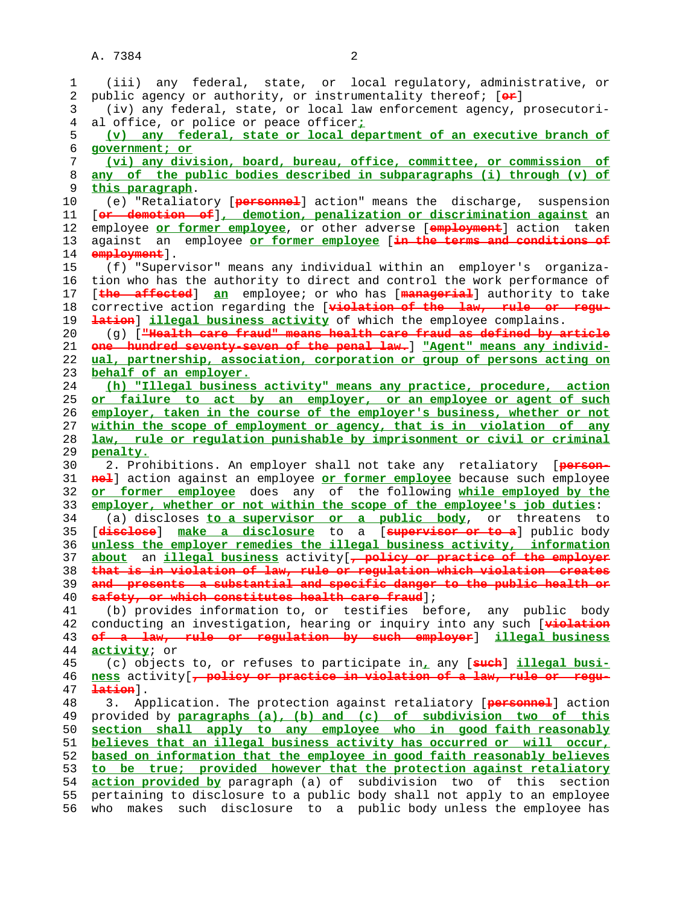| 1  | (iii) any federal, state, or local regulatory, administrative, or                  |
|----|------------------------------------------------------------------------------------|
| 2  | public agency or authority, or instrumentality thereof; [or]                       |
| 3  | (iv) any federal, state, or local law enforcement agency, prosecutori-             |
| 4  | al office, or police or peace officer <sub>i</sub>                                 |
| 5  | (v) any federal, state or local department of an executive branch of               |
| 6  | government; or                                                                     |
| 7  | (vi) any division, board, bureau, office, committee, or commission of              |
| 8  | any of the public bodies described in subparagraphs (i) through (v) of             |
| 9  | this paragraph.                                                                    |
| 10 | (e) "Retaliatory [personnel] action" means the discharge, suspension               |
|    | [or demotion of], demotion, penalization or discrimination against an              |
| 11 |                                                                                    |
| 12 | employee or former employee, or other adverse [employment] action taken            |
| 13 | against an employee or former employee [in the terms and conditions of             |
| 14 | employment .                                                                       |
| 15 | (f) "Supervisor" means any individual within an employer's organiza-               |
| 16 | tion who has the authority to direct and control the work performance of           |
| 17 | [the affected] an employee; or who has [managerial] authority to take              |
| 18 | corrective action regarding the [violation of the law, rule or regu-               |
| 19 | lation] illegal business activity of which the employee complains.                 |
| 20 | (g) [ <del>"Health care fraud" means health care fraud as defined by article</del> |
| 21 | one hundred seventy seven of the penal law.   "Agent" means any individ-           |
| 22 | ual, partnership, association, corporation or group of persons acting on           |
| 23 | behalf of an employer.                                                             |
| 24 | (h) "Illegal business activity" means any practice, procedure, action              |
| 25 | or failure to act by an employer, or an employee or agent of such                  |
| 26 | employer, taken in the course of the employer's business, whether or not           |
| 27 | within the scope of employment or agency, that is in violation of any              |
| 28 | law, rule or regulation punishable by imprisonment or civil or criminal            |
| 29 | penalty.                                                                           |
| 30 |                                                                                    |
|    | 2. Prohibitions. An employer shall not take any retaliatory [person-               |
| 31 | nel] action against an employee or former employee because such employee           |
| 32 | or former employee does any of the following while employed by the                 |
| 33 | employer, whether or not within the scope of the employee's job duties:            |
| 34 | (a) discloses <i>to a supervisor or a public body</i> , or threatens to            |
| 35 | make a disclosure to a [supervisor or to a] public body<br>[ <del>disclose</del> ] |
| 36 | unless the employer remedies the illegal business activity, information            |
| 37 | an <i>illegal business</i> activity [, policy or practice of the employer<br>about |
| 38 | that is in violation of law, rule or regulation which violation creates            |
| 39 | and presents a substantial and specific danger to the public health or             |
| 40 | safety, or which constitutes health care fraud];                                   |
| 41 | (b) provides information to, or testifies before, any public body                  |
| 42 | conducting an investigation, hearing or inquiry into any such [violation           |
| 43 | of a law, rule or regulation by such employer allegal business                     |
| 44 | activity; or                                                                       |
| 45 | (c) objects to, or refuses to participate in, any [ <b>such</b> ] illegal busi-    |
| 46 | ness activity[, policy or practice in violation of a law, rule or regu-            |
| 47 | lation].                                                                           |
| 48 | Application. The protection against retaliatory [personnel] action<br>3.           |
| 49 | provided by paragraphs (a), (b) and (c) of subdivision two of this                 |
| 50 | section shall apply to any employee who in good faith reasonably                   |
| 51 | believes that an illegal business activity has occurred or will occur,             |
|    |                                                                                    |
| 52 | based on information that the employee in good faith reasonably believes           |
| 53 | to be true; provided however that the protection against retaliatory               |
| 54 | action provided by paragraph (a) of subdivision two of this section                |
| 55 | pertaining to disclosure to a public body shall not apply to an employee           |
| 56 | makes such disclosure to a public body unless the employee has<br>who              |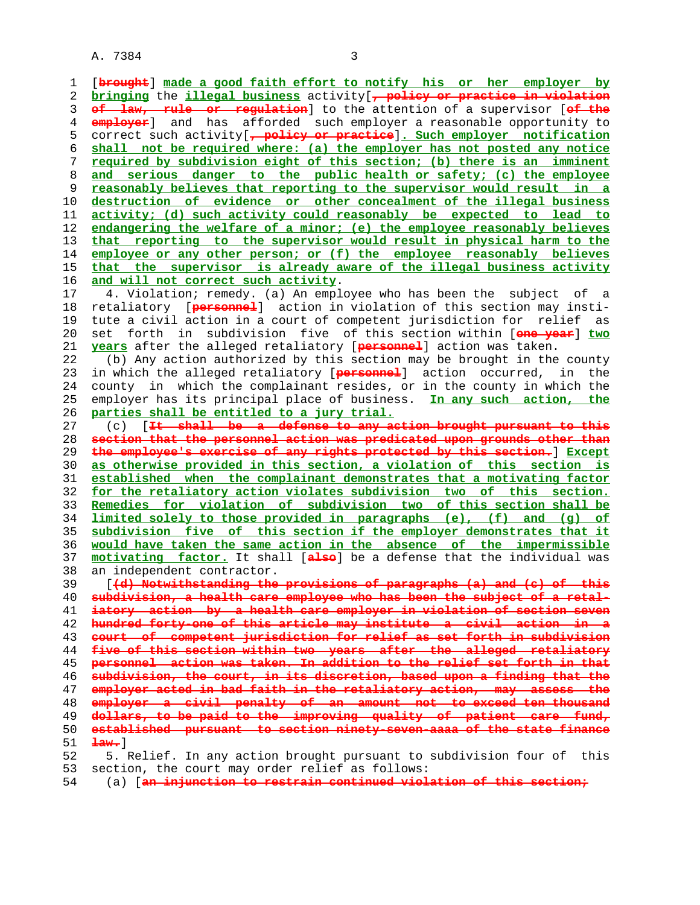A. 7384 3

 1 [**brought**] **made a good faith effort to notify his or her employer by bringing** the **illegal business** activity[**, policy or practice in violation of law, rule or regulation**] to the attention of a supervisor [**of the employer**] and has afforded such employer a reasonable opportunity to 5 correct such activity[**, policy or practice**]**. Such employer notification shall not be required where: (a) the employer has not posted any notice required by subdivision eight of this section; (b) there is an imminent and serious danger to the public health or safety; (c) the employee reasonably believes that reporting to the supervisor would result in a destruction of evidence or other concealment of the illegal business activity; (d) such activity could reasonably be expected to lead to endangering the welfare of a minor; (e) the employee reasonably believes that reporting to the supervisor would result in physical harm to the employee or any other person; or (f) the employee reasonably believes that the supervisor is already aware of the illegal business activity and will not correct such activity**. 17 4. Violation; remedy. (a) An employee who has been the subject of a 18 retaliatory [**personnel**] action in violation of this section may insti- 19 tute a civil action in a court of competent jurisdiction for relief as 20 set forth in subdivision five of this section within [**one year**] **two years** after the alleged retaliatory [**personnel**] action was taken. 22 (b) Any action authorized by this section may be brought in the county 23 in which the alleged retaliatory [**personnel**] action occurred, in the 24 county in which the complainant resides, or in the county in which the 25 employer has its principal place of business. **In any such action, the parties shall be entitled to a jury trial.** 27 (c) [<del>It shall be a defense to any action brought pursuant to</del> **section that the personnel action was predicated upon grounds other than the employee's exercise of any rights protected by this section.**] **Except as otherwise provided in this section, a violation of this section is established when the complainant demonstrates that a motivating factor for the retaliatory action violates subdivision two of this section. Remedies for violation of subdivision two of this section shall be limited solely to those provided in paragraphs (e), (f) and (g) of subdivision five of this section if the employer demonstrates that it would have taken the same action in the absence of the impermissible motivating factor.** It shall [**also**] be a defense that the individual was 38 an independent contractor. 39 [**(d) Notwithstanding the provisions of paragraphs (a) and (c) of this subdivision, a health care employee who has been the subject of a retal- iatory action by a health care employer in violation of section seven hundred forty-one of this article may institute a civil action in a court of competent jurisdiction for relief as set forth in subdivision five of this section within two years after the alleged retaliatory personnel action was taken. In addition to the relief set forth in that subdivision, the court, in its discretion, based upon a finding that the employer acted in bad faith in the retaliatory action, may assess the employer a civil penalty of an amount not to exceed ten thousand dollars, to be paid to the improving quality of patient care fund, established pursuant to section ninety-seven-aaaa of the state finance law.**] 52 5. Relief. In any action brought pursuant to subdivision four of this 53 section, the court may order relief as follows: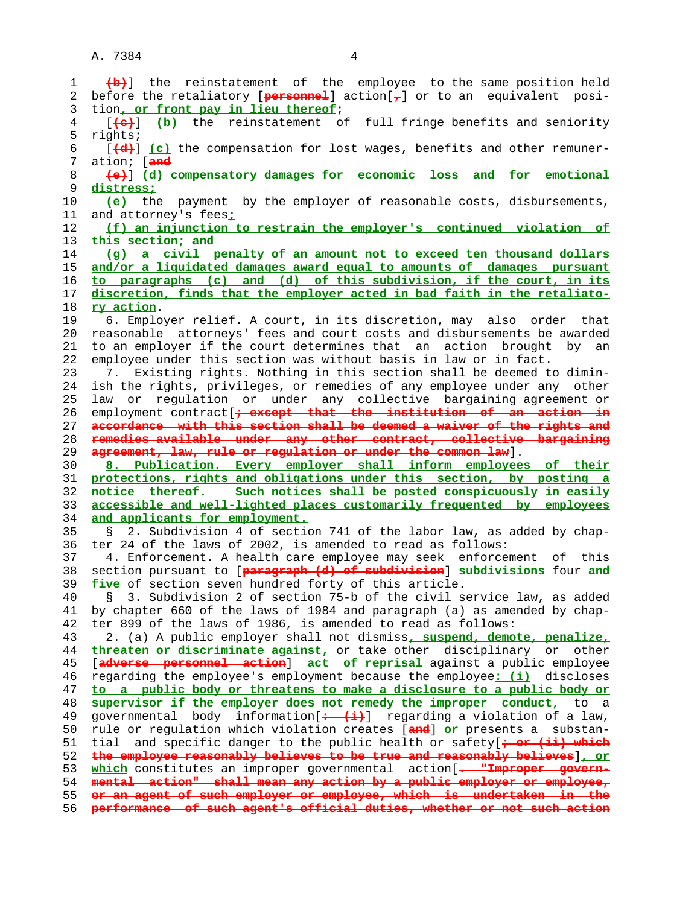| 1        | (b) the reinstatement of the employee to the same position held                                                                                 |
|----------|-------------------------------------------------------------------------------------------------------------------------------------------------|
| 2        | before the retaliatory [ $pero$ merl] action $\tau$ ] or to an equivalent posi-                                                                 |
| 3        | tion, or front pay in lieu thereof;                                                                                                             |
| 4        | [(a) (b) the reinstatement of full fringe benefits and seniority                                                                                |
| 5        | rights;                                                                                                                                         |
| 6        | $[\frac{d}{d}]$ (c) the compensation for lost wages, benefits and other remuner-                                                                |
| 7        | ation; [ <del>and</del>                                                                                                                         |
| 8        | (e) [d) compensatory damages for economic loss and for emotional                                                                                |
| 9        | distress;                                                                                                                                       |
| 10       | (e) the payment by the employer of reasonable costs, disbursements,                                                                             |
| 11       | and attorney's fees <sub>i</sub>                                                                                                                |
| 12       | (f) an injunction to restrain the employer's continued violation of                                                                             |
| 13       | this section; and                                                                                                                               |
| 14       | (g) a civil penalty of an amount not to exceed ten thousand dollars                                                                             |
| 15       | and/or a liquidated damages award equal to amounts of damages pursuant                                                                          |
| 16       | to paragraphs (c) and (d) of this subdivision, if the court, in its                                                                             |
| 17       | discretion, finds that the employer acted in bad faith in the retaliato-                                                                        |
| 18       | ry action.                                                                                                                                      |
| 19       | 6. Employer relief. A court, in its discretion, may also order that                                                                             |
| 20       | reasonable attorneys' fees and court costs and disbursements be awarded                                                                         |
| 21       | to an employer if the court determines that an action brought<br>by an                                                                          |
| 22       | employee under this section was without basis in law or in fact.                                                                                |
| 23       | 7. Existing rights. Nothing in this section shall be deemed to dimin-                                                                           |
| 24       | ish the rights, privileges, or remedies of any employee under any other                                                                         |
| 25       | law or regulation or under any collective bargaining agreement or                                                                               |
| 26       | employment contract [+ except that the institution of an action in                                                                              |
| 27       | accordance with this section shall be deemed a waiver of the rights and                                                                         |
| 28       | remedies available under any other contract, collective bargaining                                                                              |
|          |                                                                                                                                                 |
| 29       | agreement, law, rule or regulation or under the common law].                                                                                    |
| 30       | 8. Publication. Every employer shall inform employees of their                                                                                  |
| 31       | protections, rights and obligations under this section, by posting a                                                                            |
| 32       | notice thereof. Such notices shall be posted conspicuously in easily                                                                            |
| 33       | accessible and well-lighted places customarily frequented by employees                                                                          |
| 34       | and applicants for employment.                                                                                                                  |
| 35       | 2. Subdivision 4 of section 741 of the labor law, as added by chap-<br>S.                                                                       |
| 36       | ter 24 of the laws of 2002, is amended to read as follows:                                                                                      |
| 37       | 4. Enforcement. A health care employee may seek enforcement of this                                                                             |
| 38       | section pursuant to [paragraph (d) of subdivision] subdivisions four and                                                                        |
| 39       | five of section seven hundred forty of this article.                                                                                            |
| 40       | § 3. Subdivision 2 of section 75-b of the civil service law, as added                                                                           |
| 41       | by chapter 660 of the laws of 1984 and paragraph (a) as amended by chap-                                                                        |
| 42       | ter 899 of the laws of 1986, is amended to read as follows:                                                                                     |
| 43       | 2. (a) A public employer shall not dismiss, suspend, demote, penalize,                                                                          |
| 44       | threaten or discriminate against, or take other disciplinary or<br>other                                                                        |
| 45       | [adverse personnel action] act of reprisal against a public employee                                                                            |
| 46       | regarding the employee's employment because the employee: (i) discloses                                                                         |
| 47       | to a public body or threatens to make a disclosure to a public body or                                                                          |
| 48       | supervisor if the employer does not remedy the improper conduct, to a                                                                           |
| 49       | governmental body information $[$ + $($ i+) regarding a violation of a law,                                                                     |
| 50       | rule or regulation which violation creates [and] or presents a substan-                                                                         |
| 51       | and specific danger to the public health or safety [+ or (ii) which<br>tial                                                                     |
| 52       | the employee reasonably believes to be true and reasonably believes], or                                                                        |
| 53       | which constitutes an improper governmental action [- "Improper govern-                                                                          |
| 54       | mental action" shall mean any action by a public employer or employee,                                                                          |
| 55<br>56 | or an agent of such employer or employee, which is undertaken in the<br>performance of such agent's official duties, whether or not such action |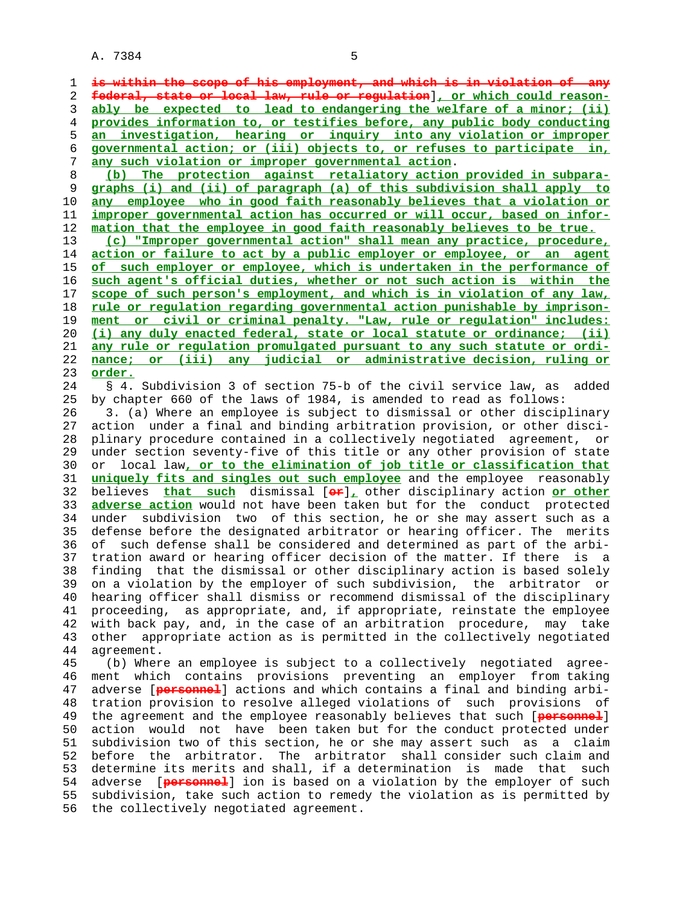A. 7384 5

**is within the scope of his employment, and which is in violation of any federal, state or local law, rule or regulation**]**, or which could reason- ably be expected to lead to endangering the welfare of a minor; (ii) provides information to, or testifies before, any public body conducting an investigation, hearing or inquiry into any violation or improper governmental action; or (iii) objects to, or refuses to participate in, any such violation or improper governmental action**.

**(b) The protection against retaliatory action provided in subpara- graphs (i) and (ii) of paragraph (a) of this subdivision shall apply to any employee who in good faith reasonably believes that a violation or improper governmental action has occurred or will occur, based on infor- mation that the employee in good faith reasonably believes to be true.**

**(c) "Improper governmental action" shall mean any practice, procedure, action or failure to act by a public employer or employee, or an agent of such employer or employee, which is undertaken in the performance of such agent's official duties, whether or not such action is within the scope of such person's employment, and which is in violation of any law, rule or regulation regarding governmental action punishable by imprison- ment or civil or criminal penalty. "Law, rule or regulation" includes: (i) any duly enacted federal, state or local statute or ordinance; (ii) any rule or regulation promulgated pursuant to any such statute or ordi- nance; or (iii) any judicial or administrative decision, ruling or** 23 **order.**

 24 § 4. Subdivision 3 of section 75-b of the civil service law, as added 25 by chapter 660 of the laws of 1984, is amended to read as follows:

 26 3. (a) Where an employee is subject to dismissal or other disciplinary 27 action under a final and binding arbitration provision, or other disci- 28 plinary procedure contained in a collectively negotiated agreement, or 29 under section seventy-five of this title or any other provision of state 30 or local law**, or to the elimination of job title or classification that** 31 **uniquely fits and singles out such employee** and the employee reasonably 32 believes **that such** dismissal [**or**]**,** other disciplinary action **or other** 33 **adverse action** would not have been taken but for the conduct protected 34 under subdivision two of this section, he or she may assert such as a defense before the designated arbitrator or hearing officer. The merits 36 of such defense shall be considered and determined as part of the arbi- 37 tration award or hearing officer decision of the matter. If there is a 38 finding that the dismissal or other disciplinary action is based solely 39 on a violation by the employer of such subdivision, the arbitrator or 40 hearing officer shall dismiss or recommend dismissal of the disciplinary 41 proceeding, as appropriate, and, if appropriate, reinstate the employee 42 with back pay, and, in the case of an arbitration procedure, may take 43 other appropriate action as is permitted in the collectively negotiated 44 agreement.

 45 (b) Where an employee is subject to a collectively negotiated agree- 46 ment which contains provisions preventing an employer from taking 47 adverse [**personnel**] actions and which contains a final and binding arbi- 48 tration provision to resolve alleged violations of such provisions of 49 the agreement and the employee reasonably believes that such [**personnel**] 50 action would not have been taken but for the conduct protected under 51 subdivision two of this section, he or she may assert such as a claim 52 before the arbitrator. The arbitrator shall consider such claim and 53 determine its merits and shall, if a determination is made that such 54 adverse [**personnel**] ion is based on a violation by the employer of such 55 subdivision, take such action to remedy the violation as is permitted by 56 the collectively negotiated agreement.